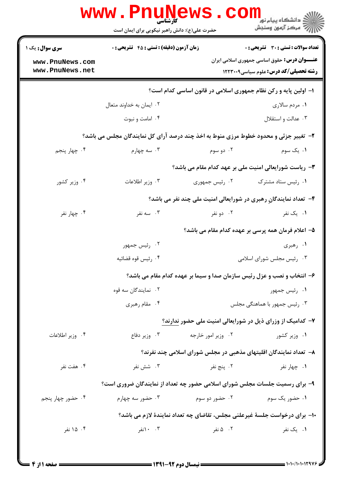|                                                              | حضرت علی(ع): دانش راهبر نیکویی برای ایمان است                                        |                    | ڪ دانشڪاه پيا <sub>م</sub> نور<br><mark>ر</mark> 7 مرڪز آزمون وسنڊش                                                                                 |
|--------------------------------------------------------------|--------------------------------------------------------------------------------------|--------------------|-----------------------------------------------------------------------------------------------------------------------------------------------------|
| <b>سری سوال :</b> یک ۱<br>www.PnuNews.com<br>www.PnuNews.net | زمان آزمون (دقیقه) : تستی : 45 آتشریحی : 0                                           |                    | <b>تعداد سوالات : تستی : 30 ٪ تشریحی : 0</b><br><b>عنـــوان درس:</b> حقوق اساسی جمهوری اسلامی ایران<br><b>رشته تحصیلی/کد درس:</b> علوم سیاسی1۲۲۳۰۰۹ |
|                                                              |                                                                                      |                    | ۱– اولین پایه و رکن نظام جمهوری اسلامی در قانون اساسی کدام است؟                                                                                     |
|                                                              | ۰۲ ایمان به خداوند متعال                                                             |                    | ۰۱ مردم سالاری                                                                                                                                      |
|                                                              | ۰۴ امامت و نبوت                                                                      |                    | ۰۳ عدالت و استقلال                                                                                                                                  |
|                                                              | ۲- تغییر جزئی و محدود خطوط مرزی منوط به اخذ چند درصد آرای کل نمایندگان مجلس می باشد؟ |                    |                                                                                                                                                     |
| ۰۴ چهار پنجم                                                 | ۰۳ سه چهارم                                                                          | ۰۲ دو سوم          | ۰۱ یک سوم                                                                                                                                           |
|                                                              |                                                                                      |                    | ۳- ریاست شورایعالی امنیت ملی بر عهد کدام مقام می باشد؟                                                                                              |
| ۰۴ وزیر کشور                                                 | ۰۳ وزير اطلاعات                                                                      | ۰۲ رئیس جمهوری     | ٠١ رئيس ستاد مشترك                                                                                                                                  |
|                                                              |                                                                                      |                    | ۴- تعداد نمایندگانِ رهبری در شورایعالی امنیت ملی چند نفر می باشد؟                                                                                   |
| ۰۴ چهار نفر                                                  | ۰۳ سه نفر                                                                            | ۰۲ دو نفر          | ۰۱ یک نفر                                                                                                                                           |
|                                                              |                                                                                      |                    | ۵– اعلام فرمان همه پرسی بر عهده کدام مقام می باشد؟                                                                                                  |
|                                                              | ۰۲ رئیس جمهور                                                                        |                    | ۰۱ رهبری                                                                                                                                            |
|                                                              | ۰۴ رئيس قوه قضائيه                                                                   |                    | ۰۳ رئیس مجلس شورای اسلامی                                                                                                                           |
|                                                              | ۶- انتخاب و نصب و عزل رئیس سازمان صدا و سیما بر عهده کدام مقام می باشد؟              |                    |                                                                                                                                                     |
|                                                              | ۰۲ نمایندگان سه قوه                                                                  |                    | ۰۱ رئیس جمهور                                                                                                                                       |
|                                                              | ۰۴ مقام رهبری                                                                        |                    | ۰۳ رئیس جمهور با هماهنگی مجلس                                                                                                                       |
|                                                              |                                                                                      |                    | ۷- کدامیک از وزرای ذیل در شورایعالی امنیت ملی حضور ندارند؟                                                                                          |
| ۰۴ وزیر اطلاعات                                              | ۰۳ وزیر دفاع                                                                         | ۰۲ وزیر امور خارجه | ۰۱ وزیر کشور                                                                                                                                        |
|                                                              |                                                                                      |                    | ۸–  تعداد نمایندگان اقلیتهای مذهبی در مجلس شورای اسلامی چند نفرند؟                                                                                  |
| ۰۴ هفت نفر                                                   | ۰۳ شش نفر                                                                            | ۰۲ پنج نفر         | ۰۱ چهار نفر                                                                                                                                         |
|                                                              | ۹- برای رسمیت جلسات مجلس شورای اسلامی حضور چه تعداد از نمایندگان ضروری است؟          |                    |                                                                                                                                                     |
| ۰۴ حضور چهار پنجم                                            | ۰۳ حضور سه چهارم                                                                     | ۰۲ حضور دو سوم     | ۰۱ حضور یک سوم                                                                                                                                      |
|                                                              |                                                                                      |                    | ∙۱- برای درخواست جلسهٔ غیرعلنی مجلس، تقاضای چه تعداد نمایندهٔ لازم می باشد؟                                                                         |
| ۰۴ ۱۵ نفر                                                    | ۰. ۱۰نفر                                                                             | ۰۲ ۵ نفر           |                                                                                                                                                     |
|                                                              |                                                                                      |                    | ۰۱ یک نفر                                                                                                                                           |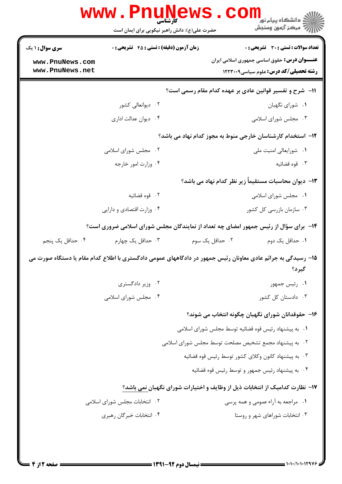|                        | WWW . PI<br><b>CLUN</b><br>حضرت علی(ع): دانش راهبر نیکویی برای ایمان است    | ڪ دانشڪاه پيا <sub>م</sub> نور<br>/> مرکز آزمون وسنجش                                                                 |  |  |
|------------------------|-----------------------------------------------------------------------------|-----------------------------------------------------------------------------------------------------------------------|--|--|
| <b>سری سوال : ۱ یک</b> | <b>زمان آزمون (دقیقه) : تستی : 45 تشریحی : 0</b>                            | تعداد سوالات : تستي : 30 ٪ تشريحي : 0                                                                                 |  |  |
| www.PnuNews.com        |                                                                             | <b>عنـــوان درس:</b> حقوق اساسی جمهوری اسلامی ایران                                                                   |  |  |
| www.PnuNews.net        |                                                                             | <b>رشته تحصیلی/کد درس: علوم سیاسی1۲۲۲۰۰۹</b>                                                                          |  |  |
|                        |                                                                             | 11- شرح و تفسیر قوانین عادی بر عهده کدام مقام رسمی است؟                                                               |  |  |
|                        | ۰۲ دیوانعالی کشور                                                           | ٠١. شوراي نگهبان                                                                                                      |  |  |
|                        | ۰۴ دیوان عدالت اداری                                                        | ۰۳ مجلس شورای اسلامی                                                                                                  |  |  |
|                        |                                                                             | ۱۲– استخدام کارشناسان خارجی منوط به مجوز کدام نهاد می باشد؟                                                           |  |  |
|                        | ۲. مجلس شورای اسلامی                                                        | ٠١ شورايعالى امنيت ملي                                                                                                |  |  |
|                        | ۰۴ وزارت امور خارجه                                                         | ۰۳ قوه قضائیه                                                                                                         |  |  |
|                        |                                                                             | ۱۳– دیوان محاسبات مستقیماً زیر نظر کدام نهاد می باشد؟                                                                 |  |  |
|                        | ۰۲ قوه قضائیه                                                               | ۰۱ مجلس شورای اسلامی                                                                                                  |  |  |
|                        | ۰۴ وزارت اقتصادي و دارايي                                                   | ۰۳ سازمان بازرسی کل کشور                                                                                              |  |  |
|                        |                                                                             | ۱۴- برای سؤال از رئیس جمهور امضای چه تعداد از نمایندگان مجلس شورای اسلامی ضروری است؟                                  |  |  |
| ۰۴ حداقل یک پنجم       | ۰۳ حداقل یک چهارم                                                           | ۰۲ حداقل یک سوم<br>۰۱ حداقل یک دوم                                                                                    |  |  |
|                        |                                                                             | 1۵– رسیدگی به جرائم عادی معاونان رئیس جمهور در دادگاههای عمومی دادگستری با اطلاع کدام مقام یا دستگاه صورت می<br>گيرد؟ |  |  |
|                        | ۰۲ وزیر دادگستری                                                            | ۰۱ رئیس جمهور                                                                                                         |  |  |
|                        | ۰۴ مجلس شورای اسلامی                                                        | ۰۳ دادستان کل کشور                                                                                                    |  |  |
|                        |                                                                             | ۱۶– حقوقدانان شورای نگهبان چگونه انتخاب می شوند؟                                                                      |  |  |
|                        |                                                                             | ۰۱ به پیشنهاد رئیس قوه قضائیه توسط مجلس شورای اسلامی                                                                  |  |  |
|                        |                                                                             | ۰۲ به پیشنهاد مجمع تشخیص مصلحت توسط مجلس شورای اسلامی                                                                 |  |  |
|                        |                                                                             | ۰۳ به پیشنهاد کانون وکلای کشور توسط رئیس قوه قضائیه                                                                   |  |  |
|                        |                                                                             | ۰۴ به پیشنهاد رئیس جمهور و توسط رئیس قوه قضائیه                                                                       |  |  |
|                        | ۱۷– نظارت کدامیک از انتخابات ذیل از وظایف و اختیارات شورای نگهبان نمی باشد؟ |                                                                                                                       |  |  |
|                        | ۰۲ انتخابات مجلس شورای اسلامی                                               | ۰۱ مراجعه به آراء عمومی و همه پرسی                                                                                    |  |  |
|                        | ۰۴ انتخابات خبر گان رهبری                                                   | ۰۳ انتخابات شوراهای شهر و روستا                                                                                       |  |  |
|                        |                                                                             |                                                                                                                       |  |  |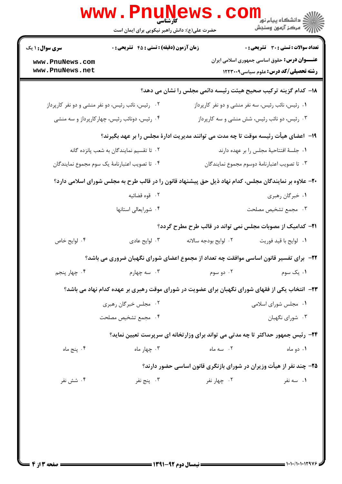|                                                | www.PnuNews                                       |                                               |                                                                                                       |  |
|------------------------------------------------|---------------------------------------------------|-----------------------------------------------|-------------------------------------------------------------------------------------------------------|--|
|                                                | حضرت علی(ع): دانش راهبر نیکویی برای ایمان است     |                                               | ر دانشگاه پيام نور <mark>− .</mark><br>ا <mark>ر</mark> = مرکز آزمون وسنجش                            |  |
| <b>سری سوال : ۱ یک</b>                         | زمان آزمون (دقیقه) : تستی : ۴۵ قشریحی : 0         |                                               | <b>تعداد سوالات : تستي : 30 ٪ تشريحي : 0</b>                                                          |  |
| www.PnuNews.com<br>www.PnuNews.net             |                                                   |                                               | <b>عنـــوان درس:</b> حقوق اساسی جمهوری اسلامی ایران<br><b>رشته تحصیلی/کد درس:</b> علوم سیاسی1۲۲۳۰۰۹   |  |
|                                                |                                                   |                                               | ۱۸– کدام گزینه ترکیب صحیح هیئت رئیسه دائمی مجلس را نشان می دهد؟                                       |  |
|                                                | ۰۲ رئیس، نائب رئیس، دو نفر منشی و دو نفر کارپرداز |                                               | ۰۱ رئیس، نائب رئیس، سه نفر منشی و دو نفر کارپرداز                                                     |  |
|                                                | ۰۴ رئیس، دونائب رئیس، چهارکارپرداز و سه منشی      |                                               | ۰۳ رئیس، دو نائب رئیس، شش منشی و سه کارپرداز                                                          |  |
|                                                |                                                   |                                               | ۱۹- اعضای هیأت رئیسه موقت تا چه مدت می توانند مدیریت ادارهٔ مجلس را بر عهد بگیرند؟                    |  |
| ۰۲ تا تقسیم نمایندگان به شعب پانزده گانه       |                                                   | ٠١. جلسهٔ افتتاحیهٔ مجلس را بر عهده دارند     |                                                                                                       |  |
| ۰۴ تا تصویب اعتبارنامهٔ یک سوم مجموع نمایندگان |                                                   | ۰۳ تا تصويب اعتبارنامهٔ دوسوم مجموع نمايندگان |                                                                                                       |  |
|                                                |                                                   |                                               | ۲۰- علاوه بر نمایندگان مجلس، کدام نهاد ذیل حق پیشنهاد قانون را در قالب طرح به مجلس شورای اسلامی دارد؟ |  |
|                                                | ۰۲ قوه قضائيه                                     |                                               | ۰۱ خبرگان رهبري                                                                                       |  |
|                                                | ۰۴ شورايعالى استانها                              |                                               | ۰۳ مجمع تشخیص مصلحت                                                                                   |  |
|                                                |                                                   |                                               | <b>۲۱</b> - کدامیک از مصوبات مجلس نمی تواند در قالب طرح مطرح گردد؟                                    |  |
| ۰۴ لوايح خاص                                   | ۰۳ لوايح عادي                                     | ٢. لوايح بودجه سالانه                         | ٠١. لوايح با قيد فوريت                                                                                |  |
|                                                |                                                   |                                               | ۲۲-۔برای تفسیر قانون اساسی موافقت چه تعداد از مجموع اعضای شورای نگهبان ضروری می باشد؟                 |  |
| ۰۴ چهار پنجم                                   | ۰۳ سه چهارم                                       | ۰۲ دو سوم                                     | ۰۱ یک سوم                                                                                             |  |
|                                                |                                                   |                                               | ۲۳- انتخاب یکی از فقهای شورای نگهبان برای عضویت در شورای موقت رهبری بر عهده کدام نهاد می باشد؟        |  |
|                                                | ۰۲ مجلس خبرگان رهبری                              |                                               | ۰۱ مجلس شورای اسلامی                                                                                  |  |
|                                                | ۰۴ مجمع تشخيص مصلحت                               |                                               | ۰۳ شورای نگهبان                                                                                       |  |
|                                                |                                                   |                                               | ۲۴- رئیس جمهور حداکثر تا چه مدتی می تواند برای وزارتخانه ای سرپرست تعیین نماید؟                       |  |
| ۰۴ پنج ماه                                     | ۰۳ چهار ماه                                       | ۰۲ سه ماه                                     | ۰۱ دو ماه                                                                                             |  |
|                                                |                                                   |                                               | ۲۵- چند نفر از هیأت وزیران در شورای بازنگری قانون اساسی حضور دارند؟                                   |  |
| ۰۴ شش نفر                                      | ۰۳ پنج نفر                                        | ۰۲ چهار نفر                                   | ۰۱ سه نفر                                                                                             |  |
|                                                |                                                   |                                               |                                                                                                       |  |
|                                                |                                                   |                                               |                                                                                                       |  |